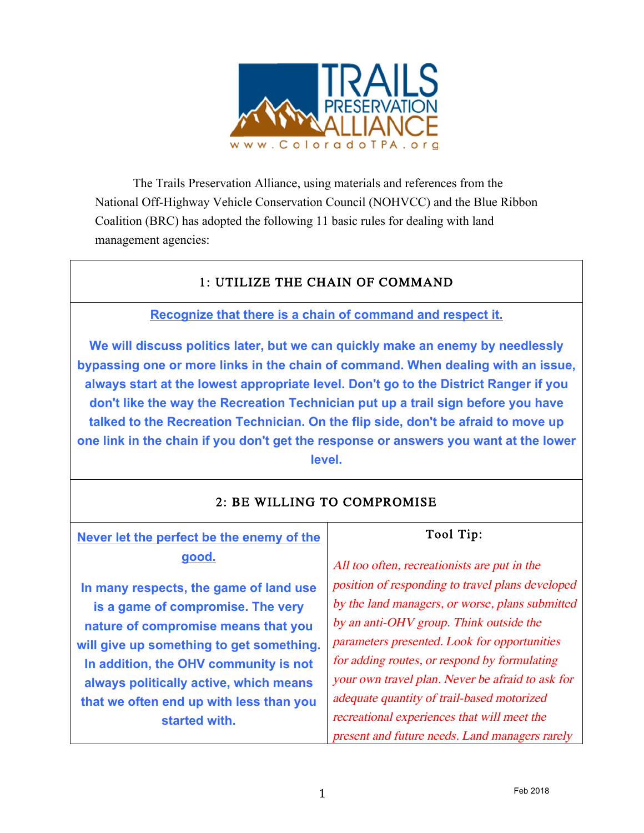

The Trails Preservation Alliance, using materials and references from the National Off-Highway Vehicle Conservation Council (NOHVCC) and the Blue Ribbon Coalition (BRC) has adopted the following 11 basic rules for dealing with land management agencies:

# 1: UTILIZE THE CHAIN OF COMMAND

# **Recognize that there is a chain of command and respect it.**

**We will discuss politics later, but we can quickly make an enemy by needlessly bypassing one or more links in the chain of command. When dealing with an issue, always start at the lowest appropriate level. Don't go to the District Ranger if you don't like the way the Recreation Technician put up a trail sign before you have talked to the Recreation Technician. On the flip side, don't be afraid to move up one link in the chain if you don't get the response or answers you want at the lower level.**

| Never let the perfect be the enemy of the | Tool Tip:                                        |
|-------------------------------------------|--------------------------------------------------|
| good.                                     | All too often, recreationists are put in the     |
| In many respects, the game of land use    | position of responding to travel plans developed |
| is a game of compromise. The very         | by the land managers, or worse, plans submitted  |
| nature of compromise means that you       | by an anti-OHV group. Think outside the          |
| will give up something to get something.  | parameters presented. Look for opportunities     |
| In addition, the OHV community is not     | for adding routes, or respond by formulating     |
| always politically active, which means    | your own travel plan. Never be afraid to ask for |
| that we often end up with less than you   | adequate quantity of trail-based motorized       |
| started with.                             | recreational experiences that will meet the      |
|                                           | present and future needs. Land managers rarely   |
|                                           |                                                  |

# 2: BE WILLING TO COMPROMISE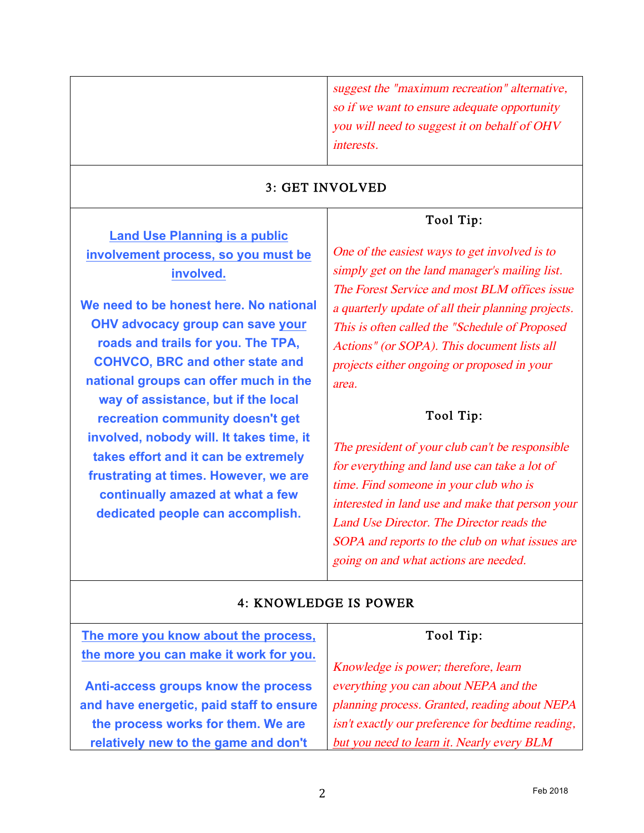suggest the "maximum recreation" alternative, so if we want to ensure adequate opportunity you will need to suggest it on behalf of OHV interests.

#### 3: GET INVOLVED

#### Tool Tip:

**Land Use Planning is a public involvement process, so you must be involved.**

**We need to be honest here. No national OHV advocacy group can save your roads and trails for you. The TPA, COHVCO, BRC and other state and national groups can offer much in the way of assistance, but if the local recreation community doesn't get involved, nobody will. It takes time, it takes effort and it can be extremely frustrating at times. However, we are continually amazed at what a few dedicated people can accomplish.**

One of the easiest ways to get involved is to simply get on the land manager's mailing list. The Forest Service and most BLM offices issue a quarterly update of all their planning projects. This is often called the "Schedule of Proposed Actions" (or SOPA). This document lists all projects either ongoing or proposed in your area.

#### Tool Tip:

The president of your club can't be responsible for everything and land use can take a lot of time. Find someone in your club who is interested in land use and make that person your Land Use Director. The Director reads the SOPA and reports to the club on what issues are going on and what actions are needed.

#### 4: KNOWLEDGE IS POWER

| The more you know about the process,     | Tool Tip:                                         |
|------------------------------------------|---------------------------------------------------|
| the more you can make it work for you.   | Knowledge is power; therefore, learn              |
| Anti-access groups know the process      | everything you can about NEPA and the             |
| and have energetic, paid staff to ensure | planning process. Granted, reading about NEPA     |
| the process works for them. We are       | isn't exactly our preference for bedtime reading, |
| relatively new to the game and don't     | but you need to learn it. Nearly every BLM        |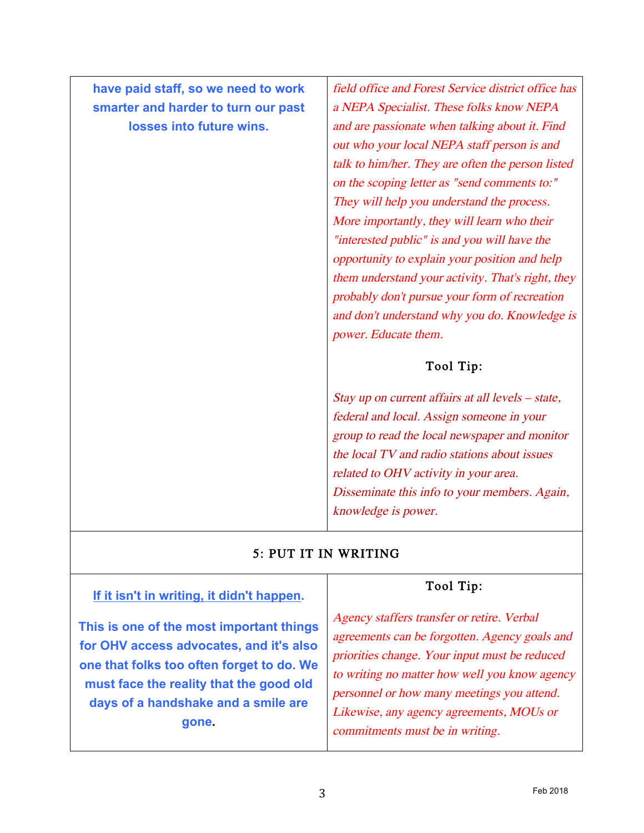**have paid staff, so we need to work smarter and harder to turn our past losses into future wins.**

field office and Forest Service district office has a NEPA Specialist. These folks know NEPA and are passionate when talking about it. Find out who your local NEPA staff person is and talk to him/her. They are often the person listed on the scoping letter as "send comments to:" They will help you understand the process. More importantly, they will learn who their "interested public" is and you will have the opportunity to explain your position and help them understand your activity. That's right, they probably don't pursue your form of recreation and don't understand why you do. Knowledge is power. Educate them.

# Tool Tip:

Stay up on current affairs at all levels – state, federal and local. Assign someone in your group to read the local newspaper and monitor the local TV and radio stations about issues related to OHV activity in your area. Disseminate this info to your members. Again, knowledge is power.

# 5: PUT IT IN WRITING

#### **If it isn't in writing, it didn't happen.**

**This is one of the most important things for OHV access advocates, and it's also one that folks too often forget to do. We must face the reality that the good old days of a handshake and a smile are gone.**

# Tool Tip:

Agency staffers transfer or retire. Verbal agreements can be forgotten. Agency goals and priorities change. Your input must be reduced to writing no matter how well you know agency personnel or how many meetings you attend. Likewise, any agency agreements, MOUs or commitments must be in writing.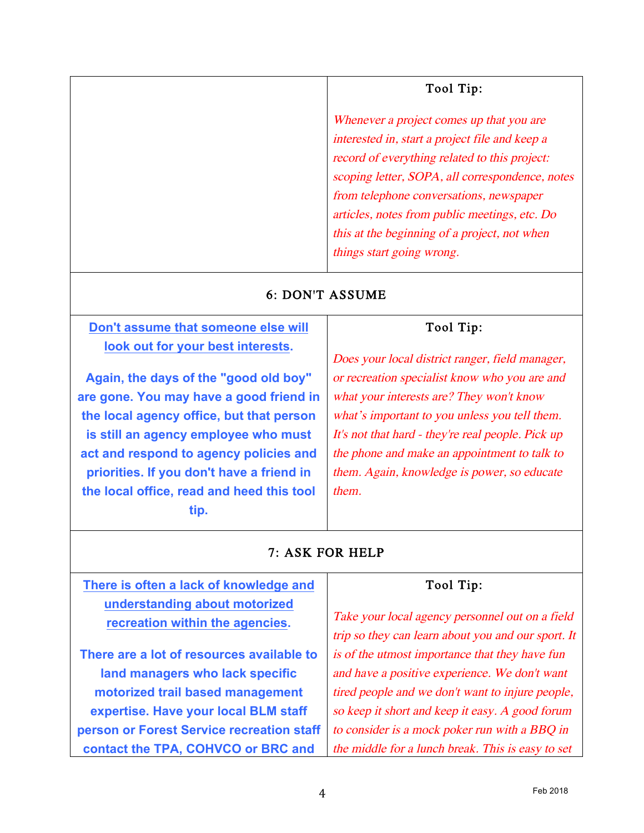# Tool Tip:

Whenever a project comes up that you are interested in, start a project file and keep a record of everything related to this project: scoping letter, SOPA, all correspondence, notes from telephone conversations, newspaper articles, notes from public meetings, etc. Do this at the beginning of a project, not when things start going wrong.

#### 6: DON'T ASSUME

# **Don't assume that someone else will look out for your best interests.**

**Again, the days of the "good old boy" are gone. You may have a good friend in the local agency office, but that person is still an agency employee who must act and respond to agency policies and priorities. If you don't have a friend in the local office, read and heed this tool tip.**

# Tool Tip:

Does your local district ranger, field manager, or recreation specialist know who you are and what your interests are? They won't know what's important to you unless you tell them. It's not that hard - they're real people. Pick up the phone and make an appointment to talk to them. Again, knowledge is power, so educate them.

# 7: ASK FOR HELP

| There is often a lack of knowledge and                           | Tool Tip:                                                                                             |
|------------------------------------------------------------------|-------------------------------------------------------------------------------------------------------|
| understanding about motorized<br>recreation within the agencies. | Take your local agency personnel out on a field<br>trip so they can learn about you and our sport. It |
| There are a lot of resources available to                        | is of the utmost importance that they have fun                                                        |
| land managers who lack specific                                  | and have a positive experience. We don't want                                                         |
| motorized trail based management                                 | tired people and we don't want to injure people,                                                      |
| expertise. Have your local BLM staff                             | so keep it short and keep it easy. A good forum                                                       |
| person or Forest Service recreation staff                        | to consider is a mock poker run with a BBQ in                                                         |
| contact the TPA, COHVCO or BRC and                               | the middle for a lunch break. This is easy to set                                                     |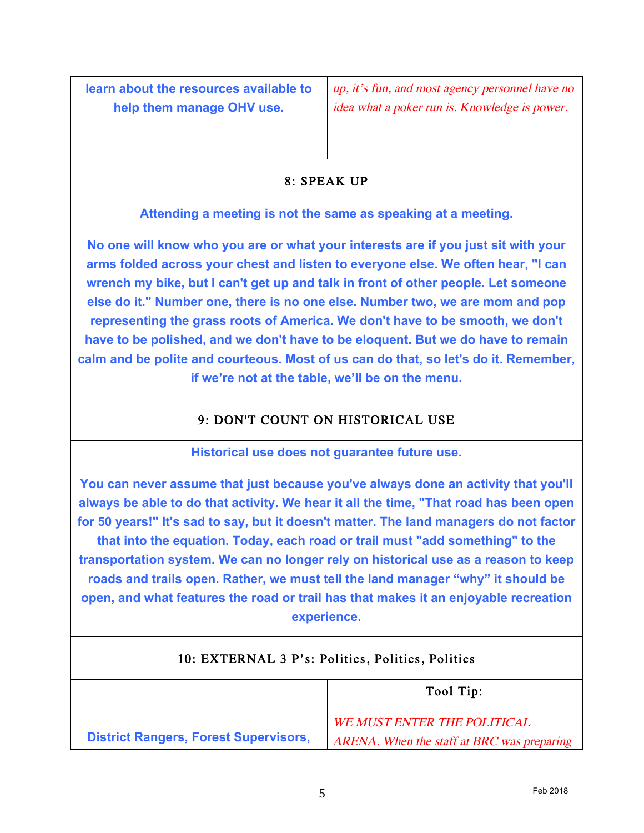**learn about the resources available to help them manage OHV use.**

up, it's fun, and most agency personnel have no idea what a poker run is. Knowledge is power.

# 8: SPEAK UP

# **Attending a meeting is not the same as speaking at a meeting.**

**No one will know who you are or what your interests are if you just sit with your arms folded across your chest and listen to everyone else. We often hear, "I can wrench my bike, but I can't get up and talk in front of other people. Let someone else do it." Number one, there is no one else. Number two, we are mom and pop representing the grass roots of America. We don't have to be smooth, we don't have to be polished, and we don't have to be eloquent. But we do have to remain calm and be polite and courteous. Most of us can do that, so let's do it. Remember, if we're not at the table, we'll be on the menu.**

# 9: DON'T COUNT ON HISTORICAL USE

#### **Historical use does not guarantee future use.**

**You can never assume that just because you've always done an activity that you'll always be able to do that activity. We hear it all the time, "That road has been open for 50 years!" It's sad to say, but it doesn't matter. The land managers do not factor that into the equation. Today, each road or trail must "add something" to the transportation system. We can no longer rely on historical use as a reason to keep roads and trails open. Rather, we must tell the land manager "why" it should be open, and what features the road or trail has that makes it an enjoyable recreation experience.**

# 10: EXTERNAL 3 P's: Politics, Politics, Politics

|                                              | Tool Tip:                                  |
|----------------------------------------------|--------------------------------------------|
|                                              | <b>WE MUST ENTER THE POLITICAL</b>         |
| <b>District Rangers, Forest Supervisors,</b> | ARENA. When the staff at BRC was preparing |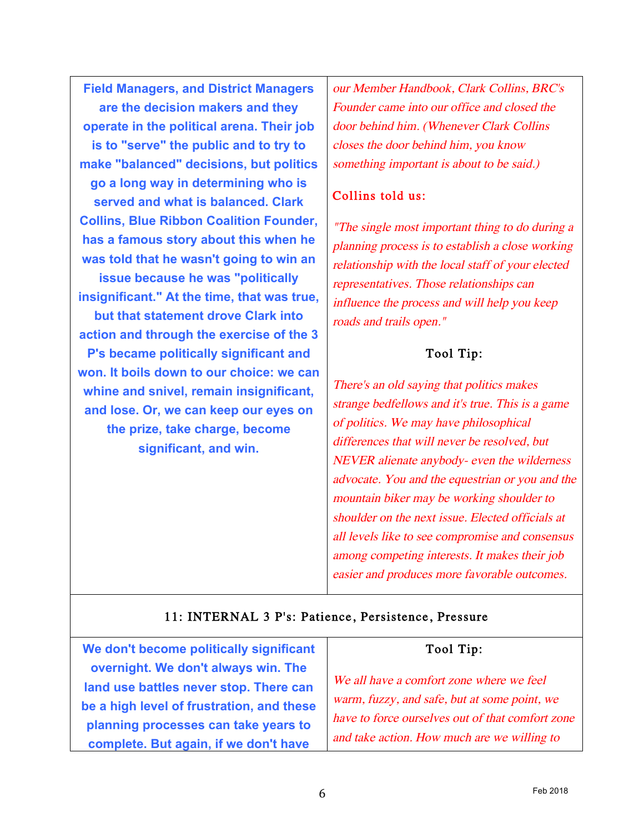**Field Managers, and District Managers are the decision makers and they operate in the political arena. Their job is to "serve" the public and to try to make "balanced" decisions, but politics go a long way in determining who is served and what is balanced. Clark Collins, Blue Ribbon Coalition Founder, has a famous story about this when he was told that he wasn't going to win an issue because he was "politically insignificant." At the time, that was true, but that statement drove Clark into action and through the exercise of the 3 P's became politically significant and won. It boils down to our choice: we can whine and snivel, remain insignificant, and lose. Or, we can keep our eyes on the prize, take charge, become significant, and win.**

our Member Handbook, Clark Collins, BRC's Founder came into our office and closed the door behind him. (Whenever Clark Collins closes the door behind him, you know something important is about to be said.)

#### Collins told us:

"The single most important thing to do during a planning process is to establish a close working relationship with the local staff of your elected representatives. Those relationships can influence the process and will help you keep roads and trails open."

# Tool Tip:

There's an old saying that politics makes strange bedfellows and it's true. This is a game of politics. We may have philosophical differences that will never be resolved, but NEVER alienate anybody- even the wilderness advocate. You and the equestrian or you and the mountain biker may be working shoulder to shoulder on the next issue. Elected officials at all levels like to see compromise and consensus among competing interests. It makes their job easier and produces more favorable outcomes.

# 11: INTERNAL 3 P's: Patience, Persistence, Pressure

**We don't become politically significant overnight. We don't always win. The land use battles never stop. There can be a high level of frustration, and these planning processes can take years to complete. But again, if we don't have** 

# Tool Tip:

We all have a comfort zone where we feel warm, fuzzy, and safe, but at some point, we have to force ourselves out of that comfort zone and take action. How much are we willing to